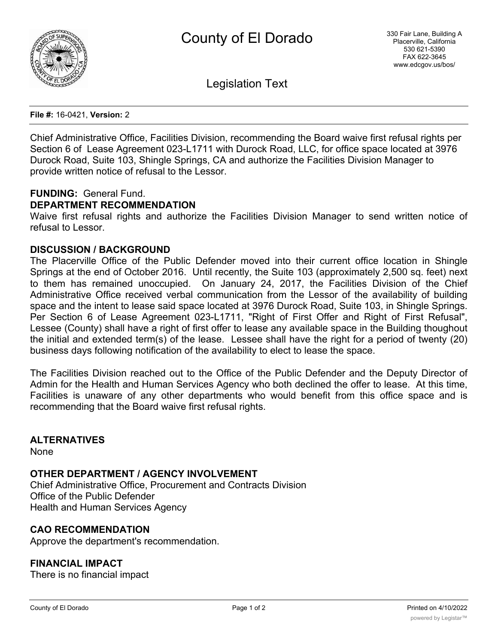

Legislation Text

**File #:** 16-0421, **Version:** 2

Chief Administrative Office, Facilities Division, recommending the Board waive first refusal rights per Section 6 of Lease Agreement 023-L1711 with Durock Road, LLC, for office space located at 3976 Durock Road, Suite 103, Shingle Springs, CA and authorize the Facilities Division Manager to provide written notice of refusal to the Lessor.

## **FUNDING:** General Fund.

## **DEPARTMENT RECOMMENDATION**

Waive first refusal rights and authorize the Facilities Division Manager to send written notice of refusal to Lessor.

#### **DISCUSSION / BACKGROUND**

The Placerville Office of the Public Defender moved into their current office location in Shingle Springs at the end of October 2016. Until recently, the Suite 103 (approximately 2,500 sq. feet) next to them has remained unoccupied. On January 24, 2017, the Facilities Division of the Chief Administrative Office received verbal communication from the Lessor of the availability of building space and the intent to lease said space located at 3976 Durock Road, Suite 103, in Shingle Springs. Per Section 6 of Lease Agreement 023-L1711, "Right of First Offer and Right of First Refusal", Lessee (County) shall have a right of first offer to lease any available space in the Building thoughout the initial and extended term(s) of the lease. Lessee shall have the right for a period of twenty (20) business days following notification of the availability to elect to lease the space.

The Facilities Division reached out to the Office of the Public Defender and the Deputy Director of Admin for the Health and Human Services Agency who both declined the offer to lease. At this time, Facilities is unaware of any other departments who would benefit from this office space and is recommending that the Board waive first refusal rights.

**ALTERNATIVES**

None

### **OTHER DEPARTMENT / AGENCY INVOLVEMENT**

Chief Administrative Office, Procurement and Contracts Division Office of the Public Defender Health and Human Services Agency

#### **CAO RECOMMENDATION**

Approve the department's recommendation.

## **FINANCIAL IMPACT**

There is no financial impact